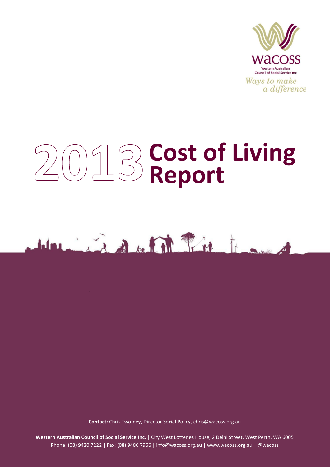

# **Cost of Living Report**



**Contact:** Chris Twomey, Director Social Policy, [chris@wacoss.org.au](mailto:chris@wacoss.org.au)

**Western Australian Council of Social Service Inc.** | City West Lotteries House, 2 Delhi Street, West Perth, WA 6005 Phone: (08) 9420 7222 | Fax: (08) 9486 7966 | [info@wacoss.org.au](mailto:info@wacoss.org.au) | [www.wacoss.org.au](http://www.wacoss.org.au/) | [@wacoss](file://dc1/wacossdata/SOCIAL%20POLICY%20UNIT/Cost%20of%20Living/Cost%20of%20living%202013/Reports%20drafts/twitter.com/wacoss)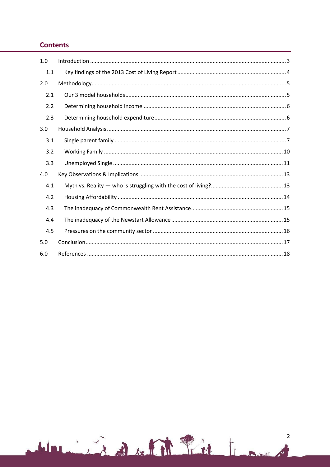# **Contents**

| 1.0 |  |
|-----|--|
| 1.1 |  |
| 2.0 |  |
| 2.1 |  |
| 2.2 |  |
| 2.3 |  |
| 3.0 |  |
| 3.1 |  |
| 3.2 |  |
| 3.3 |  |
| 4.0 |  |
| 4.1 |  |
| 4.2 |  |
| 4.3 |  |
| 4.4 |  |
| 4.5 |  |
| 5.0 |  |
| 6.0 |  |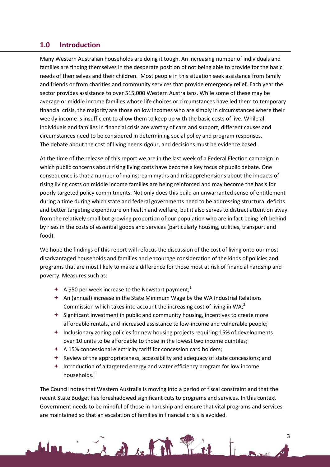## <span id="page-2-0"></span>**1.0 Introduction**

Many Western Australian households are doing it tough. An increasing number of individuals and families are finding themselves in the desperate position of not being able to provide for the basic needs of themselves and their children. Most people in this situation seek assistance from family and friends or from charities and community services that provide emergency relief. Each year the sector provides assistance to over 515,000 Western Australians. While some of these may be average or middle income families whose life choices or circumstances have led them to temporary financial crisis, the majority are those on low incomes who are simply in circumstances where their weekly income is insufficient to allow them to keep up with the basic costs of live. While all individuals and families in financial crisis are worthy of care and support, different causes and circumstances need to be considered in determining social policy and program responses. The debate about the cost of living needs rigour, and decisions must be evidence based.

At the time of the release of this report we are in the last week of a Federal Election campaign in which public concerns about rising living costs have become a key focus of public debate. One consequence is that a number of mainstream myths and misapprehensions about the impacts of rising living costs on middle income families are being reinforced and may become the basis for poorly targeted policy commitments. Not only does this build an unwarranted sense of entitlement during a time during which state and federal governments need to be addressing structural deficits and better targeting expenditure on health and welfare, but it also serves to distract attention away from the relatively small but growing proportion of our population who are in fact being left behind by rises in the costs of essential goods and services (particularly housing, utilities, transport and food).

We hope the findings of this report will refocus the discussion of the cost of living onto our most disadvantaged households and families and encourage consideration of the kinds of policies and programs that are most likely to make a difference for those most at risk of financial hardship and poverty. Measures such as:

- $\div$  A \$50 per week increase to the Newstart payment;<sup>1</sup>
- $\triangleq$  An (annual) increase in the State Minimum Wage by the WA Industrial Relations Commission which takes into account the increasing cost of living in WA: $<sup>2</sup>$ </sup>
- $\triangleq$  Significant investment in public and community housing, incentives to create more affordable rentals, and increased assistance to low-income and vulnerable people;
- $+$  Inclusionary zoning policies for new housing projects requiring 15% of developments over 10 units to be affordable to those in the lowest two income quintiles;
- $\div$  A 15% concessional electricity tariff for concession card holders;

1 in Baker Park

- $\triangle$  Review of the appropriateness, accessibility and adequacy of state concessions; and
- Introduction of a targeted energy and water efficiency program for low income households.<sup>3</sup>

The Council notes that Western Australia is moving into a period of fiscal constraint and that the recent State Budget has foreshadowed significant cuts to programs and services. In this context Government needs to be mindful of those in hardship and ensure that vital programs and services are maintained so that an escalation of families in financial crisis is avoided.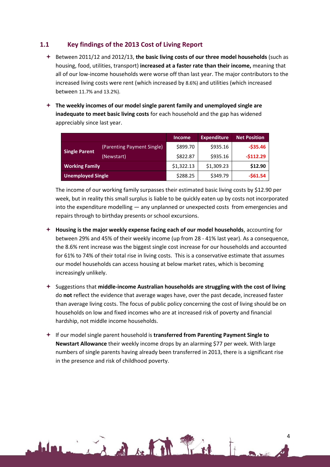## <span id="page-3-0"></span>**1.1 Key findings of the 2013 Cost of Living Report**

- Between 2011/12 and 2012/13, **the basic living costs of our three model households** (such as housing, food, utilities, transport) **increased at a faster rate than their income,** meaning that all of our low-income households were worse off than last year. The major contributors to the increased living costs were rent (which increased by 8.6%) and utilities (which increased between 11.7% and 13.2%).
- **The weekly incomes of our model single parent family and unemployed single are inadequate to meet basic living costs** for each household and the gap has widened appreciably since last year.

|                          |                            | <b>Income</b> | <b>Expenditure</b> | <b>Net Position</b> |
|--------------------------|----------------------------|---------------|--------------------|---------------------|
|                          | (Parenting Payment Single) | \$899.70      | \$935.16           | $-535.46$           |
| <b>Single Parent</b>     | (Newstart)                 | \$822.87      | \$935.16           | $-5112.29$          |
| <b>Working Family</b>    |                            | \$1,322.13    | \$1,309.23         | \$12.90             |
| <b>Unemployed Single</b> |                            | \$288.25      | \$349.79           | $-561.54$           |

The income of our working family surpasses their estimated basic living costs by \$12.90 per week, but in reality this small surplus is liable to be quickly eaten up by costs not incorporated into the expenditure modelling — any unplanned or unexpected costs from emergencies and repairs through to birthday presents or school excursions.

- **Housing is the major weekly expense facing each of our model households**, accounting for between 29% and 45% of their weekly income (up from 28 - 41% last year). As a consequence, the 8.6% rent increase was the biggest single cost increase for our households and accounted for 61% to 74% of their total rise in living costs. This is a conservative estimate that assumes our model households can access housing at below market rates, which is becoming increasingly unlikely.
- Suggestions that **middle-income Australian households are struggling with the cost of living** do **not** reflect the evidence that average wages have, over the past decade, increased faster than average living costs. The focus of public policy concerning the cost of living should be on households on low and fixed incomes who are at increased risk of poverty and financial hardship, not middle income households.
- If our model single parent household is **transferred from Parenting Payment Single to Newstart Allowance** their weekly income drops by an alarming \$77 per week. With large numbers of single parents having already been transferred in 2013, there is a significant rise in the presence and risk of childhood poverty.

in the film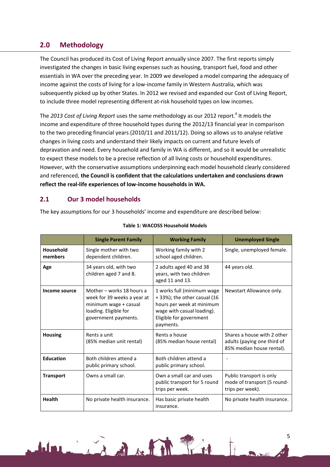# <span id="page-4-0"></span>**2.0 Methodology**

The Council has produced its Cost of Living Report annually since 2007. The first reports simply investigated the changes in basic living expenses such as housing, transport fuel, food and other essentials in WA over the preceding year. In 2009 we developed a model comparing the adequacy of income against the costs of living for a low-income family in Western Australia, which was subsequently picked up by other States. In 2012 we revised and expanded our Cost of Living Report, to include three model representing different at-risk household types on low incomes.

The 2013 Cost of Living Report uses the same methodology as our 2012 report.<sup>4</sup> It models the income and expenditure of three household types during the 2012/13 financial year in comparison to the two preceding financial years (2010/11 and 2011/12). Doing so allows us to analyse relative changes in living costs and understand their likely impacts on current and future levels of depravation and need. Every household and family in WA is different, and so it would be unrealistic to expect these models to be a precise reflection of all living costs or household expenditures. However, with the conservative assumptions underpinning each model household clearly considered and referenced, **the Council is confident that the calculations undertaken and conclusions drawn reflect the real-life experiences of low-income households in WA.**

# <span id="page-4-1"></span>**2.1 Our 3 model households**

The key assumptions for our 3 households' income and expenditure are described below:

|                      | <b>Single Parent Family</b>                                                                                                        | <b>Working Family</b>                                                                                                                                        | <b>Unemployed Single</b>                                                                |
|----------------------|------------------------------------------------------------------------------------------------------------------------------------|--------------------------------------------------------------------------------------------------------------------------------------------------------------|-----------------------------------------------------------------------------------------|
| Household<br>members | Single mother with two<br>dependent children.                                                                                      | Working family with 2<br>school aged children.                                                                                                               | Single, unemployed female.                                                              |
| Age                  | 34 years old, with two<br>children aged 7 and 8.                                                                                   | 2 adults aged 40 and 38<br>years, with two children<br>aged 11 and 13.                                                                                       | 44 years old.                                                                           |
| Income source        | Mother - works 18 hours a<br>week for 39 weeks a year at<br>minimum wage + casual<br>loading. Eligible for<br>government payments. | 1 works full (minimum wage<br>+33%); the other casual (16<br>hours per week at minimum<br>wage with casual loading).<br>Eligible for government<br>payments. | Newstart Allowance only.                                                                |
| <b>Housing</b>       | Rents a unit<br>(85% median unit rental)                                                                                           | Rents a house<br>(85% median house rental)                                                                                                                   | Shares a house with 2 other<br>adults (paying one third of<br>85% median house rental). |
| <b>Education</b>     | Both children attend a<br>public primary school.                                                                                   | Both children attend a<br>public primary school.                                                                                                             |                                                                                         |
| <b>Transport</b>     | Owns a small car.                                                                                                                  | Own a small car and uses<br>public transport for 5 round<br>trips per week.                                                                                  | Public transport is only<br>mode of transport (5 round-<br>trips per week).             |
| <b>Health</b>        | No private health insurance.                                                                                                       | Has basic private health<br>insurance.                                                                                                                       | No private health insurance.                                                            |

Line datit fin

#### **Table 1: WACOSS Household Models**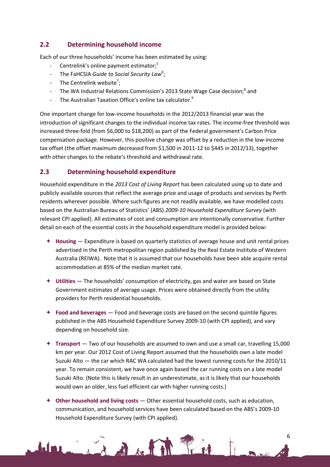# <span id="page-5-0"></span>**2.2 Determining household income**

Each of our three households' income has been estimated by using:

- Centrelink's online payment estimator;<sup>5</sup>
- The FaHCSIA *Guide to Social Security Law<sup>6</sup>* ;
- The Centrelink website<sup>7</sup>;
- The WA Industrial Relations Commission's 2013 State Wage Case decision;<sup>8</sup> and
- The Australian Taxation Office's online tax calculator.<sup>9</sup>

One important change for low-income households in the 2012/2013 financial year was the introduction of significant changes to the individual income tax rates. The income-free threshold was increased three-fold (from \$6,000 to \$18,200) as part of the Federal government's Carbon Price compensation package. However, this positive change was offset by a reduction in the low-income tax offset (the offset maximum decreased from \$1,500 in 2011-12 to \$445 in 2012/13), together with other changes to the rebate's threshold and withdrawal rate.

# <span id="page-5-1"></span>**2.3 Determining household expenditure**

Household expenditure in the *2013 Cost of Living Report* has been calculated using up to date and publicly available sources that reflect the average price and usage of products and services by Perth residents wherever possible. Where such figures are not readily available, we have modelled costs based on the Australian Bureau of Statistics' (ABS) *2009-10 Household Expenditure Survey* (with relevant CPI applied). All estimates of cost and consumption are intentionally conservative. Further detail on each of the essential costs in the household expenditure model is provided below:

- **Housing** Expenditure is based on quarterly statistics of average house and unit rental prices advertised in the Perth metropolitan region published by the Real Estate Institute of Western Australia (REIWA). Note that it is assumed that our households have been able acquire rental accommodation at 85% of the median market rate.
- **Utilities** The households' consumption of electricity, gas and water are based on State Government estimates of average usage. Prices were obtained directly from the utility providers for Perth residential households.
- **Food and beverages** Food and beverage costs are based on the second quintile figures published in the ABS Household Expenditure Survey 2009-10 (with CPI applied), and vary depending on household size.
- **Transport** Two of our households are assumed to own and use a small car, travelling 15,000 km per year. Our 2012 Cost of Living Report assumed that the households own a late model Suzuki Alto — the car which RAC WA calculated had the lowest running costs for the 2010/11 year. To remain consistent, we have once again based the car running costs on a late model Suzuki Alto. (Note this is likely result in an underestimate, as it is likely that our households would own an older, less fuel efficient car with higher running costs.)
- **Other household and living costs** Other essential household costs, such as education, communication, and household services have been calculated based on the ABS's 2009-10 Household Expenditure Survey (with CPI applied).

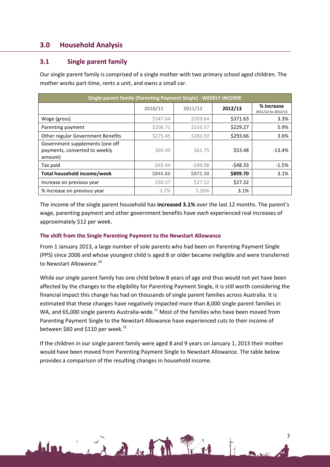# <span id="page-6-0"></span>**3.0 Household Analysis**

## <span id="page-6-1"></span>**3.1 Single parent family**

Our single parent family is comprised of a single mother with two primary school aged children. The mother works part-time, rents a unit, and owns a small car.

| Single parent family (Parenting Payment Single) - WEEKLY INCOME             |           |           |           |                                  |  |  |
|-----------------------------------------------------------------------------|-----------|-----------|-----------|----------------------------------|--|--|
|                                                                             | 2010/11   | 2011/12   | 2012/13   | % increase<br>2011/12 to 2012/13 |  |  |
| Wage (gross)                                                                | \$347.64  | \$359.64  | \$371.63  | 3.3%                             |  |  |
| Parenting payment                                                           | \$206.71  | \$216.57  | \$229.27  | 5.9%                             |  |  |
| Other regular Government Benefits                                           | \$275.45  | \$283.50  | \$293.66  | 3.6%                             |  |  |
| Government supplements (one off<br>payments, converted to weekly<br>amount) | \$60.49   | \$61.75   | \$53.48   | $-13.4%$                         |  |  |
| Tax paid                                                                    | $-545.44$ | $-549.08$ | $-548.33$ | $-1.5%$                          |  |  |
| Total household income/week                                                 | \$844.86  | \$872.38  | \$899.70  | 3.1%                             |  |  |
| Increase on previous year                                                   | \$30.37   | \$27.52   | \$27.32   |                                  |  |  |
| % increase on previous year                                                 | 3.7%      | 3.26%     | 3.1%      |                                  |  |  |

The income of the single parent household has **increased 3.1%** over the last 12 months. The parent's wage, parenting payment and other government benefits have *each* experienced real increases of approximately \$12 per week.

#### **The shift from the Single Parenting Payment to the Newstart Allowance**

From 1 January 2013, a large number of sole parents who had been on Parenting Payment Single (PPS) since 2006 and whose youngest child is aged 8 or older became ineligible and were transferred to Newstart Allowance.<sup>10</sup>

While *our* single parent family has one child below 8 years of age and thus would not yet have been affected by the changes to the eligibility for Parenting Payment Single, it is still worth considering the financial impact this change has had on thousands of single parent families across Australia. It is estimated that these changes have negatively impacted more than 8,000 single parent families in WA, and 65,000 single parents Australia-wide.<sup>11</sup> Most of the families who have been moved from Parenting Payment Single to the Newstart Allowance have experienced cuts to their income of between \$60 and \$110 per week.<sup>12</sup>

If the children in our single parent family were aged 8 and 9 years on January 1, 2013 their mother would have been moved from Parenting Payment Single to Newstart Allowance. The table below provides a comparison of the resulting changes in household income.

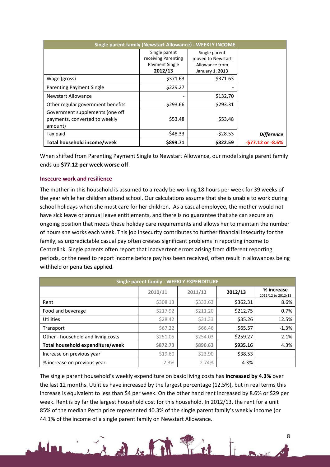| Single parent family (Newstart Allowance) - WEEKLY INCOME                   |                                                                   |                                                                         |                      |  |  |  |
|-----------------------------------------------------------------------------|-------------------------------------------------------------------|-------------------------------------------------------------------------|----------------------|--|--|--|
|                                                                             | Single parent<br>receiving Parenting<br>Payment Single<br>2012/13 | Single parent<br>moved to Newstart<br>Allowance from<br>January 1, 2013 |                      |  |  |  |
| Wage (gross)                                                                | \$371.63                                                          | \$371.63                                                                |                      |  |  |  |
| <b>Parenting Payment Single</b>                                             | \$229.27                                                          |                                                                         |                      |  |  |  |
| Newstart Allowance                                                          |                                                                   | \$132.70                                                                |                      |  |  |  |
| Other regular government benefits                                           | \$293.66                                                          | \$293.31                                                                |                      |  |  |  |
| Government supplements (one off<br>payments, converted to weekly<br>amount) | \$53.48                                                           | \$53.48                                                                 |                      |  |  |  |
| Tax paid                                                                    | $-548.33$                                                         | $-528.53$                                                               | <b>Difference</b>    |  |  |  |
| Total household income/week                                                 | \$899.71                                                          | \$822.59                                                                | $-577.12$ or $-8.6%$ |  |  |  |

When shifted from Parenting Payment Single to Newstart Allowance, our model single parent family ends up **\$77.12 per week worse off**.

#### **Insecure work and resilience**

The mother in this household is assumed to already be working 18 hours per week for 39 weeks of the year while her children attend school. Our calculations assume that she is unable to work during school holidays when she must care for her children. As a casual employee, the mother would not have sick leave or annual leave entitlements, and there is no guarantee that she can secure an ongoing position that meets these holiday care requirements and allows her to maintain the number of hours she works each week. This job insecurity contributes to further financial insecurity for the family, as unpredictable casual pay often creates significant problems in reporting income to Centrelink. Single parents often report that inadvertent errors arising from different reporting periods, or the need to report income before pay has been received, often result in allowances being withheld or penalties applied.

| <b>Single parent family - WEEKLY EXPENDITURE</b> |          |          |          |                                  |  |  |
|--------------------------------------------------|----------|----------|----------|----------------------------------|--|--|
|                                                  | 2010/11  | 2011/12  | 2012/13  | % increase<br>2011/12 to 2012/13 |  |  |
| Rent                                             | \$308.13 | \$333.63 | \$362.31 | 8.6%                             |  |  |
| Food and beverage                                | \$217.92 | \$211.20 | \$212.75 | 0.7%                             |  |  |
| <b>Utilities</b>                                 | \$28.42  | \$31.33  | \$35.26  | 12.5%                            |  |  |
| Transport                                        | \$67.22  | \$66.46  | \$65.57  | $-1.3%$                          |  |  |
| Other - household and living costs               | \$251.05 | \$254.03 | \$259.27 | 2.1%                             |  |  |
| Total household expenditure/week                 | \$872.73 | \$896.63 | \$935.16 | 4.3%                             |  |  |
| Increase on previous year                        | \$19.60  | \$23.90  | \$38.53  |                                  |  |  |
| % increase on previous year                      | 2.3%     | 2.74%    | 4.3%     |                                  |  |  |

The single parent household's weekly expenditure on basic living costs has **increased by 4.3%** over the last 12 months. Utilities have increased by the largest percentage (12.5%), but in real terms this increase is equivalent to less than \$4 per week. On the other hand rent increased by 8.6% or \$29 per week. Rent is by far the largest household cost for this household. In 2012/13, the rent for a unit 85% of the median Perth price represented 40.3% of the single parent family's weekly income (or 44.1% of the income of a single parent family on Newstart Allowance.

Light Pin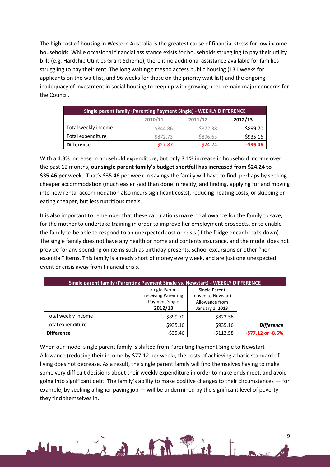The high cost of housing in Western Australia is the greatest cause of financial stress for low income households. While occasional financial assistance exists for households struggling to pay their utility bills (e.g. Hardship Utilities Grant Scheme), there is no additional assistance available for families struggling to pay their rent. The long waiting times to access public housing (131 weeks for applicants on the wait list, and 96 weeks for those on the priority wait list) and the ongoing inadequacy of investment in social housing to keep up with growing need remain major concerns for the Council.

| <b>Single parent family (Parenting Payment Single) - WEEKLY DIFFERENCE</b> |           |           |           |  |  |  |  |
|----------------------------------------------------------------------------|-----------|-----------|-----------|--|--|--|--|
| 2010/11<br>2011/12<br>2012/13                                              |           |           |           |  |  |  |  |
| Total weekly income                                                        | \$844.86  | \$872.38  | \$899.70  |  |  |  |  |
| Total expenditure                                                          | \$872.73  | \$896.63  | \$935.16  |  |  |  |  |
| <b>Difference</b>                                                          | $-527.87$ | $-524.24$ | $-535.46$ |  |  |  |  |

With a 4.3% increase in household expenditure, but only 3.1% increase in household income over the past 12 months, **our single parent family's budget shortfall has increased from \$24.24 to \$35.46 per week**. That's \$35.46 per week in savings the family will have to find, perhaps by seeking cheaper accommodation (much easier said than done in reality, and finding, applying for and moving into new rental accommodation also incurs significant costs), reducing heating costs, or skipping or eating cheaper, but less nutritious meals.

It is also important to remember that these calculations make no allowance for the family to save, for the mother to undertake training in order to improve her employment prospects, or to enable the family to be able to respond to an unexpected cost or crisis (if the fridge or car breaks down). The single family does not have any health or home and contents insurance, and the model does not provide for any spending on items such as birthday presents, school excursions or other "nonessential" items. This family is already short of money every week, and are just one unexpected event or crisis away from financial crisis.

| Single parent family (Parenting Payment Single vs. Newstart) - WEEKLY DIFFERENCE |                                                                                                                                                     |            |                      |  |  |  |
|----------------------------------------------------------------------------------|-----------------------------------------------------------------------------------------------------------------------------------------------------|------------|----------------------|--|--|--|
|                                                                                  | Single Parent<br><b>Single Parent</b><br>receiving Parenting<br>moved to Newstart<br>Payment Single<br>Allowance from<br>2012/13<br>January 1, 2013 |            |                      |  |  |  |
| Total weekly income                                                              | \$899.70                                                                                                                                            | \$822.58   |                      |  |  |  |
| Total expenditure                                                                | \$935.16                                                                                                                                            | \$935.16   | <b>Difference</b>    |  |  |  |
| <b>Difference</b>                                                                | $-535.46$                                                                                                                                           | $-5112.58$ | $-577.12$ or $-8.6%$ |  |  |  |

When our model single parent family is shifted from Parenting Payment Single to Newstart Allowance (reducing their income by \$77.12 per week), the costs of achieving a basic standard of living does not decrease. As a result, the single parent family will find themselves having to make some very difficult decisions about their weekly expenditure in order to make ends meet, and avoid going into significant debt. The family's ability to make positive changes to their circumstances — for example, by seeking a higher paying job — will be undermined by the significant level of poverty they find themselves in.

in the film Pin

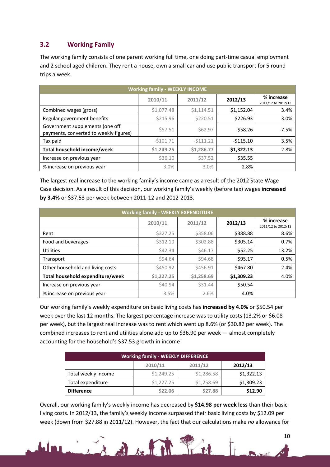# <span id="page-9-0"></span>**3.2 Working Family**

The working family consists of one parent working full time, one doing part-time casual employment and 2 school aged children. They rent a house, own a small car and use public transport for 5 round trips a week.

| <b>Working family - WEEKLY INCOME</b>                                     |            |            |            |                                  |  |  |
|---------------------------------------------------------------------------|------------|------------|------------|----------------------------------|--|--|
|                                                                           | 2010/11    | 2011/12    | 2012/13    | % increase<br>2011/12 to 2012/13 |  |  |
| Combined wages (gross)                                                    | \$1,077.48 | \$1,114.51 | \$1,152.04 | 3.4%                             |  |  |
| Regular government benefits                                               | \$215.96   | \$220.51   | \$226.93   | 3.0%                             |  |  |
| Government supplements (one off<br>payments, converted to weekly figures) | \$57.51    | \$62.97    | \$58.26    | $-7.5%$                          |  |  |
| Tax paid                                                                  | $-5101.71$ | $-5111.21$ | $-5115.10$ | 3.5%                             |  |  |
| Total household income/week                                               | \$1,249.25 | \$1,286.77 | \$1,322.13 | 2.8%                             |  |  |
| Increase on previous year                                                 | \$36.10    | \$37.52    | \$35.55    |                                  |  |  |
| % increase on previous year                                               | 3.0%       | 3.0%       | 2.8%       |                                  |  |  |

The largest real increase to the working family's income came as a result of the 2012 State Wage Case decision. As a result of this decision, our working family's weekly (before tax) wages **increased by 3.4%** or \$37.53 per week between 2011-12 and 2012-2013.

| <b>Working family - WEEKLY EXPENDITURE</b> |            |                |            |                                  |  |  |  |
|--------------------------------------------|------------|----------------|------------|----------------------------------|--|--|--|
|                                            | 2010/11    | 2011/12        | 2012/13    | % increase<br>2011/12 to 2012/13 |  |  |  |
| Rent                                       | \$327.25   | \$358.06       | \$388.88   | 8.6%                             |  |  |  |
| Food and beverages                         | \$312.10   | \$302.88       | \$305.14   | 0.7%                             |  |  |  |
| Utilities                                  | \$42.34    | <b>\$46.17</b> | \$52.25    | 13.2%                            |  |  |  |
| Transport                                  | \$94.64    | \$94.68        | \$95.17    | 0.5%                             |  |  |  |
| Other household and living costs           | \$450.92   | \$456.91       | \$467.80   | 2.4%                             |  |  |  |
| Total household expenditure/week           | \$1,227.25 | \$1,258.69     | \$1,309.23 | 4.0%                             |  |  |  |
| Increase on previous year                  | \$40.94    | \$31.44        | \$50.54    |                                  |  |  |  |
| % increase on previous year                | 3.5%       | 2.6%           | 4.0%       |                                  |  |  |  |

Our working family's weekly expenditure on basic living costs has **increased by 4.0%** or \$50.54 per week over the last 12 months. The largest percentage increase was to utility costs (13.2% or \$6.08 per week), but the largest real increase was to rent which went up 8.6% (or \$30.82 per week). The combined increases to rent and utilities alone add up to \$36.90 per week — almost completely accounting for the household's \$37.53 growth in income!

| <b>Working family - WEEKLY DIFFERENCE</b> |            |            |            |  |  |  |  |
|-------------------------------------------|------------|------------|------------|--|--|--|--|
| 2011/12<br>2010/11<br>2012/13             |            |            |            |  |  |  |  |
| Total weekly income                       | \$1,249.25 | \$1,286.58 | \$1,322.13 |  |  |  |  |
| Total expenditure                         | \$1,227.25 | \$1,258.69 | \$1,309.23 |  |  |  |  |
| \$22.06<br>\$27.88<br><b>Difference</b>   |            |            |            |  |  |  |  |

Overall, our working family's weekly income has decreased by **\$14.98 per week less** than their basic living costs. In 2012/13, the family's weekly income surpassed their basic living costs by \$12.09 per week (down from \$27.88 in 2011/12). However, the fact that our calculations make *no* allowance for

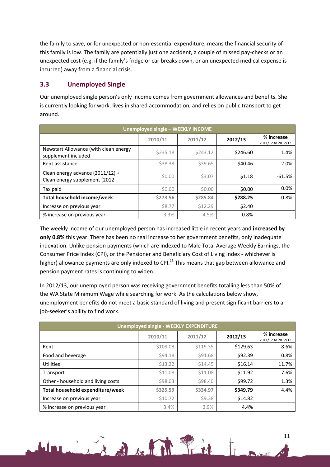the family to save, or for unexpected or non-essential expenditure, means the financial security of this family is low. The family are potentially just one accident, a couple of missed pay-checks or an unexpected cost (e.g. if the family's fridge or car breaks down, or an unexpected medical expense is incurred) away from a financial crisis.

# <span id="page-10-0"></span>**3.3 Unemployed Single**

Our unemployed single person's only income comes from government allowances and benefits. She is currently looking for work, lives in shared accommodation, and relies on public transport to get around.

| <b>Unemployed single - WEEKLY INCOME</b>                          |               |          |          |                                  |  |  |
|-------------------------------------------------------------------|---------------|----------|----------|----------------------------------|--|--|
|                                                                   | 2010/11       | 2011/12  | 2012/13  | % increase<br>2011/12 to 2012/13 |  |  |
| Newstart Allowance (with clean energy<br>supplement included      | \$235.18      | \$243.12 | \$246.60 | 1.4%                             |  |  |
| Rent assistance                                                   | \$38.38       | \$39.65  | \$40.46  | 2.0%                             |  |  |
| Clean energy advance (2011/12) +<br>Clean energy supplement (2012 | \$0.00        | \$3.07   | \$1.18   | $-61.5%$                         |  |  |
| Tax paid                                                          | \$0.00        | \$0.00   | \$0.00   | 0.0%                             |  |  |
| Total household income/week                                       | \$273.56      | \$285.84 | \$288.25 | 0.8%                             |  |  |
| Increase on previous year                                         | <b>\$8.77</b> | \$12.29  | \$2.40   |                                  |  |  |
| % increase on previous year                                       | 3.3%          | 4.5%     | 0.8%     |                                  |  |  |

The weekly income of our unemployed person has increased little in recent years and **increased by only 0.8%** this year. There has been no real increase to her government benefits, only inadequate indexation. Unlike pension payments (which are indexed to Male Total Average Weekly Earnings, the Consumer Price Index (CPI), or the Pensioner and Beneficiary Cost of Living Index - whichever is higher) allowance payments are only indexed to CPI.<sup>13</sup> This means that gap between allowance and pension payment rates is continuing to widen.

In 2012/13, our unemployed person was receiving government benefits totalling less than 50% of the WA State Minimum Wage while searching for work. As the calculations below show, unemployment benefits do not meet a basic standard of living and present significant barriers to a job-seeker's ability to find work.

| <b>Unemployed single - WEEKLY EXPENDITURE</b> |          |          |          |                                  |  |
|-----------------------------------------------|----------|----------|----------|----------------------------------|--|
|                                               | 2010/11  | 2011/12  | 2012/13  | % increase<br>2011/12 to 2012/13 |  |
| Rent                                          | \$109.08 | \$119.35 | \$129.63 | 8.6%                             |  |
| Food and beverage                             | \$94.18  | \$91.68  | \$92.39  | 0.8%                             |  |
| <b>Utilities</b>                              | \$13.22  | \$14.45  | \$16.14  | 11.7%                            |  |
| Transport                                     | \$11.08  | \$11.08  | \$11.92  | 7.6%                             |  |
| Other - household and living costs            | \$98.03  | \$98.40  | \$99.72  | 1.3%                             |  |
| Total household expenditure/week              | \$325.59 | \$334.97 | \$349.79 | 4.4%                             |  |
| Increase on previous year                     | \$10.72  | \$9.38   | \$14.82  |                                  |  |
| % increase on previous year                   | 3.4%     | 2.9%     | 4.4%     |                                  |  |

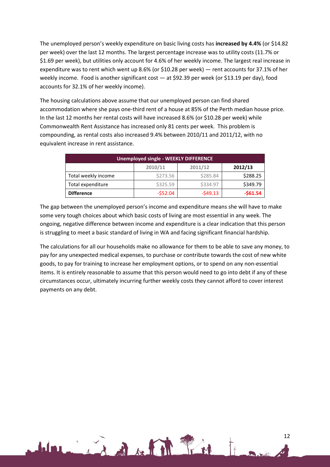The unemployed person's weekly expenditure on basic living costs has **increased by 4.4%** (or \$14.82 per week) over the last 12 months. The largest percentage increase was to utility costs (11.7% or \$1.69 per week), but utilities only account for 4.6% of her weekly income. The largest real increase in expenditure was to rent which went up 8.6% (or \$10.28 per week) — rent accounts for 37.1% of her weekly income. Food is another significant cost — at \$92.39 per week (or \$13.19 per day), food accounts for 32.1% of her weekly income).

The housing calculations above assume that our unemployed person can find shared accommodation where she pays one-third rent of a house at 85% of the Perth median house price. In the last 12 months her rental costs will have increased 8.6% (or \$10.28 per week) while Commonwealth Rent Assistance has increased only 81 cents per week. This problem is compounding, as rental costs also increased 9.4% between 2010/11 and 2011/12, with no equivalent increase in rent assistance.

| Unemployed single - WEEKLY DIFFERENCE |                    |           |           |  |  |
|---------------------------------------|--------------------|-----------|-----------|--|--|
|                                       | 2011/12<br>2010/11 |           | 2012/13   |  |  |
| Total weekly income                   | \$273.56           | \$285.84  | \$288.25  |  |  |
| Total expenditure                     | \$325.59           | \$334.97  | \$349.79  |  |  |
| <b>Difference</b>                     | $-552.04$          | $-549.13$ | $-$61.54$ |  |  |

The gap between the unemployed person's income and expenditure means she will have to make some very tough choices about which basic costs of living are most essential in any week. The ongoing, negative difference between income and expenditure is a clear indication that this person is struggling to meet a basic standard of living in WA and facing significant financial hardship.

The calculations for all our households make no allowance for them to be able to save any money, to pay for any unexpected medical expenses, to purchase or contribute towards the cost of new white goods, to pay for training to increase her employment options, or to spend on any non-essential items. It is entirely reasonable to assume that this person would need to go into debt if any of these circumstances occur, ultimately incurring further weekly costs they cannot afford to cover interest payments on any debt.

Line Baker Pin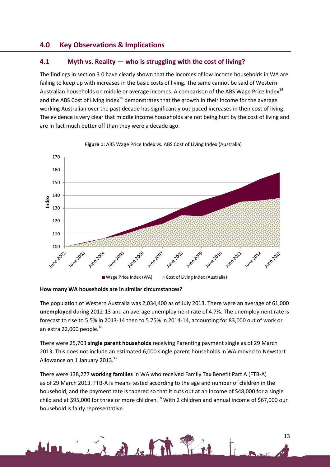## <span id="page-12-0"></span>**4.0 Key Observations & Implications**

## <span id="page-12-1"></span>**4.1 Myth vs. Reality — who is struggling with the cost of living?**

The findings in section 3.0 have clearly shown that the incomes of low income households in WA are failing to keep up with increases in the basic costs of living. The same cannot be said of Western Australian households on middle or average incomes. A comparison of the ABS Wage Price Index<sup>14</sup> and the ABS Cost of Living Index<sup>15</sup> demonstrates that the growth in their income for the average working Australian over the past decade has significantly out-paced increases in their cost of living. The evidence is very clear that middle income households are not being hurt by the cost of living and are in fact much better off than they were a decade ago.



**Figure 1:** ABS Wage Price Index vs. ABS Cost of Living Index (Australia)

**How many WA households are in similar circumstances?**

The population of Western Australia was 2,034,400 as of July 2013. There were an average of 61,000 **unemployed** during 2012-13 and an average unemployment rate of 4.7%. The unemployment rate is forecast to rise to 5.5% in 2013-14 then to 5.75% in 2014-14, accounting for 83,000 out of work or an extra 22,000 people. $^{16}$ 

There were 25,703 **single parent households** receiving Parenting payment single as of 29 March 2013. This does not include an estimated 6,000 single parent households in WA moved to Newstart Allowance on 1 January 2013.<sup>17</sup>

There were 138,277 **working families** in WA who received Family Tax Benefit Part A (FTB-A) as of 29 March 2013. FTB-A is means tested according to the age and number of children in the household, and the payment rate is tapered so that it cuts out at an income of \$48,000 for a single child and at \$95,000 for three or more children.<sup>18</sup> With 2 children and annual income of \$67,000 our household is fairly representative.

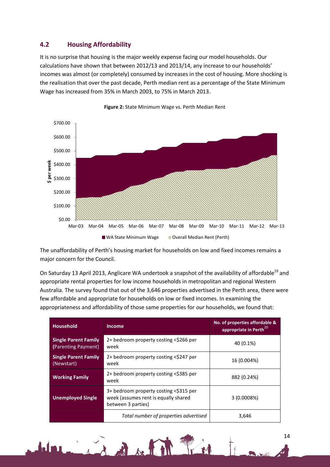## <span id="page-13-0"></span>**4.2 Housing Affordability**

It is no surprise that housing is the major weekly expense facing our model households. Our calculations have shown that between 2012/13 and 2013/14, any increase to our households' incomes was almost (or completely) consumed by increases in the cost of housing. More shocking is the realisation that over the past decade, Perth median rent as a percentage of the State Minimum Wage has increased from 35% in March 2003, to 75% in March 2013.





The unaffordability of Perth's housing market for households on low and fixed incomes remains a major concern for the Council.

On Saturday 13 April 2013, Anglicare WA undertook a snapshot of the availability of affordable<sup>19</sup> and appropriate rental properties for low income households in metropolitan and regional Western Australia. The survey found that out of the 3,646 properties advertised in the Perth area, there were few affordable and appropriate for households on low or fixed incomes. In examining the appropriateness and affordability of those same properties for *our* households, we found that:

| <b>Household</b>                                   | <b>Income</b>                                                                                        | No. of properties affordable &<br>appropriate in Perth <sup>20</sup> |
|----------------------------------------------------|------------------------------------------------------------------------------------------------------|----------------------------------------------------------------------|
| <b>Single Parent Family</b><br>(Parenting Payment) | 2+ bedroom property costing <\$266 per<br>week                                                       | 40 (0.1%)                                                            |
| <b>Single Parent Family</b><br>(Newstart)          | 2+ bedroom property costing <\$247 per<br>week                                                       | 16 (0.004%)                                                          |
| <b>Working Family</b>                              | 2+ bedroom property costing <\$385 per<br>week                                                       | 882 (0.24%)                                                          |
| <b>Unemployed Single</b>                           | 3+ bedroom property costing <\$315 per<br>week (assumes rent is equally shared<br>between 3 parties) | 3(0.0008%)                                                           |
|                                                    | Total number of properties advertised                                                                | 3,646                                                                |

Light Pin

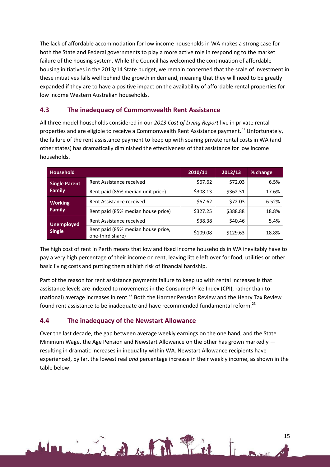The lack of affordable accommodation for low income households in WA makes a strong case for both the State and Federal governments to play a more active role in responding to the market failure of the housing system. While the Council has welcomed the continuation of affordable housing initiatives in the 2013/14 State budget, we remain concerned that the scale of investment in these initiatives falls well behind the growth in demand, meaning that they will need to be greatly expanded if they are to have a positive impact on the availability of affordable rental properties for low income Western Australian households.

## <span id="page-14-0"></span>**4.3 The inadequacy of Commonwealth Rent Assistance**

All three model households considered in our *2013 Cost of Living Report* live in private rental properties and are eligible to receive a Commonwealth Rent Assistance payment.<sup>21</sup> Unfortunately, the failure of the rent assistance payment to keep up with soaring private rental costs in WA (and other states) has dramatically diminished the effectiveness of that assistance for low income households.

| <b>Household</b>                      |                                                        | 2010/11  | 2012/13  | % change |
|---------------------------------------|--------------------------------------------------------|----------|----------|----------|
| <b>Single Parent</b><br><b>Family</b> | Rent Assistance received                               | \$67.62  | \$72.03  | 6.5%     |
|                                       | Rent paid (85% median unit price)                      | \$308.13 | \$362.31 | 17.6%    |
| <b>Working</b><br><b>Family</b>       | Rent Assistance received                               | \$67.62  | \$72.03  | 6.52%    |
|                                       | Rent paid (85% median house price)                     | \$327.25 | \$388.88 | 18.8%    |
| <b>Unemployed</b><br><b>Single</b>    | Rent Assistance received                               | \$38.38  | \$40.46  | 5.4%     |
|                                       | Rent paid (85% median house price,<br>one-third share) | \$109.08 | \$129.63 | 18.8%    |

The high cost of rent in Perth means that low and fixed income households in WA inevitably have to pay a very high percentage of their income on rent, leaving little left over for food, utilities or other basic living costs and putting them at high risk of financial hardship.

Part of the reason for rent assistance payments failure to keep up with rental increases is that assistance levels are indexed to movements in the Consumer Price Index (CPI), rather than to (national) average increases in rent.<sup>22</sup> Both the Harmer Pension Review and the Henry Tax Review found rent assistance to be inadequate and have recommended fundamental reform.<sup>23</sup>

## <span id="page-14-1"></span>**4.4 The inadequacy of the Newstart Allowance**

Line Robert R. R. R. M.

Over the last decade, the gap between average weekly earnings on the one hand, and the State Minimum Wage, the Age Pension and Newstart Allowance on the other has grown markedly resulting in dramatic increases in inequality within WA. Newstart Allowance recipients have experienced, by far, the lowest real *and* percentage increase in their weekly income, as shown in the table below: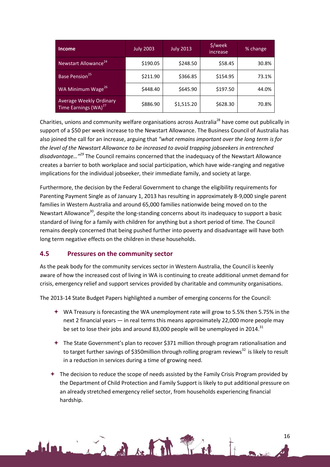| <b>Income</b>                                                      | <b>July 2003</b> | <b>July 2013</b> | \$/week<br>increase | % change |
|--------------------------------------------------------------------|------------------|------------------|---------------------|----------|
| Newstart Allowance <sup>24</sup>                                   | \$190.05         | \$248.50         | \$58.45             | 30.8%    |
| Base Pension <sup>25</sup>                                         | \$211.90         | \$366.85         | \$154.95            | 73.1%    |
| WA Minimum Wage <sup>26</sup>                                      | \$448.40         | \$645.90         | \$197.50            | 44.0%    |
| <b>Average Weekly Ordinary</b><br>Time Earnings (WA) <sup>27</sup> | \$886.90         | \$1,515.20       | \$628.30            | 70.8%    |

Charities, unions and community welfare organisations across Australia<sup>28</sup> have come out publically in support of a \$50 per week increase to the Newstart Allowance. The Business Council of Australia has also joined the call for an increase, arguing that *"what remains important over the long term is for the level of the Newstart Allowance to be increased to avoid trapping jobseekers in entrenched disadvantage…"<sup>29</sup>* The Council remains concerned that the inadequacy of the Newstart Allowance creates a barrier to both workplace and social participation, which have wide-ranging and negative implications for the individual jobseeker, their immediate family, and society at large.

Furthermore, the decision by the Federal Government to change the eligibility requirements for Parenting Payment Single as of January 1, 2013 has resulting in approximately 8-9,000 single parent families in Western Australia and around 65,000 families nationwide being moved on to the Newstart Allowance<sup>30</sup>, despite the long-standing concerns about its inadequacy to support a basic standard of living for a family with children for anything but a short period of time. The Council remains deeply concerned that being pushed further into poverty and disadvantage will have both long term negative effects on the children in these households.

## <span id="page-15-0"></span>**4.5 Pressures on the community sector**

As the peak body for the community services sector in Western Australia, the Council is keenly aware of how the increased cost of living in WA is continuing to create additional unmet demand for crisis, emergency relief and support services provided by charitable and community organisations.

The 2013-14 State Budget Papers highlighted a number of emerging concerns for the Council:

- WA Treasury is forecasting the WA unemployment rate will grow to 5.5% then 5.75% in the next 2 financial years — in real terms this means approximately 22,000 more people may be set to lose their jobs and around 83,000 people will be unemployed in 2014.<sup>31</sup>
- $+$  The State Government's plan to recover \$371 million through program rationalisation and to target further savings of \$350 million through rolling program reviews<sup>32</sup> is likely to result in a reduction in services during a time of growing need.
- $\div$  The decision to reduce the scope of needs assisted by the Family Crisis Program provided by the Department of Child Protection and Family Support is likely to put additional pressure on an already stretched emergency relief sector, from households experiencing financial hardship.

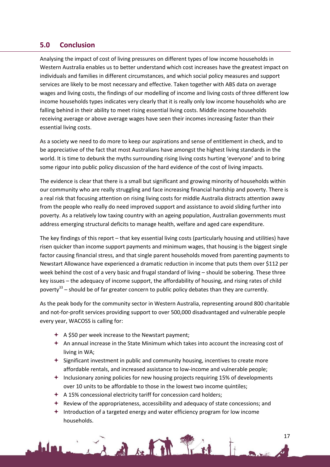## <span id="page-16-0"></span>**5.0 Conclusion**

Analysing the impact of cost of living pressures on different types of low income households in Western Australia enables us to better understand which cost increases have the greatest impact on individuals and families in different circumstances, and which social policy measures and support services are likely to be most necessary and effective. Taken together with ABS data on average wages and living costs, the findings of our modelling of income and living costs of three different low income households types indicates very clearly that it is really only low income households who are falling behind in their ability to meet rising essential living costs. Middle income households receiving average or above average wages have seen their incomes increasing faster than their essential living costs.

As a society we need to do more to keep our aspirations and sense of entitlement in check, and to be appreciative of the fact that most Australians have amongst the highest living standards in the world. It is time to debunk the myths surrounding rising living costs hurting 'everyone' and to bring some rigour into public policy discussion of the hard evidence of the cost of living impacts.

The evidence is clear that there is a small but significant and growing minority of households within our community who are really struggling and face increasing financial hardship and poverty. There is a real risk that focusing attention on rising living costs for middle Australia distracts attention away from the people who really do need improved support and assistance to avoid sliding further into poverty. As a relatively low taxing country with an ageing population, Australian governments must address emerging structural deficits to manage health, welfare and aged care expenditure.

The key findings of this report – that key essential living costs (particularly housing and utilities) have risen quicker than income support payments and minimum wages, that housing is the biggest single factor causing financial stress, and that single parent households moved from parenting payments to Newstart Allowance have experienced a dramatic reduction in income that puts them over \$112 per week behind the cost of a very basic and frugal standard of living – should be sobering. These three key issues – the adequacy of income support, the affordability of housing, and rising rates of child poverty<sup>33</sup> – should be of far greater concern to public policy debates than they are currently.

As the peak body for the community sector in Western Australia, representing around 800 charitable and not-for-profit services providing support to over 500,000 disadvantaged and vulnerable people every year, WACOSS is calling for:

- $\div$  A \$50 per week increase to the Newstart payment;
- $\triangleq$  An annual increase in the State Minimum which takes into account the increasing cost of living in WA;
- $\triangleq$  Significant investment in public and community housing, incentives to create more affordable rentals, and increased assistance to low-income and vulnerable people;
- $+$  Inclusionary zoning policies for new housing projects requiring 15% of developments over 10 units to be affordable to those in the lowest two income quintiles;
- $\div$  A 15% concessional electricity tariff for concession card holders;

in the fill find

 $\triangleq$  Review of the appropriateness, accessibility and adequacy of state concessions; and

17

 $+$  Introduction of a targeted energy and water efficiency program for low income households.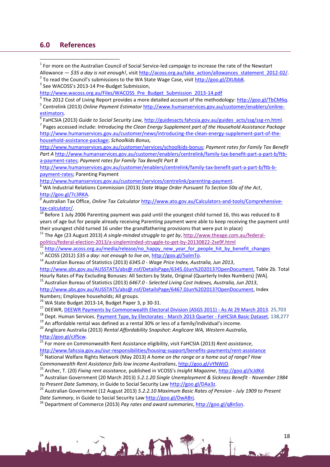## <span id="page-17-0"></span>**6.0 References**

**.**  $1$  For more on the Australian Council of Social Service-led campaign to increase the rate of the Newstart Allowance — *\$35 a day is not enough!*, visit [http://acoss.org.au/take\\_action/allowances\\_statement\\_2012-02/.](http://acoss.org.au/take_action/allowances_statement_2012-02/) <sup>2</sup> To read the Council's submissions to the WA State Wage Case, visit [http://goo.gl/ZXUbb8.](http://goo.gl/ZXUbb8)

<sup>3</sup> See WACOSS's 2013-14 Pre-Budget Submission,

[http://www.wacoss.org.au/Files/WACOSS\\_Pre\\_Budget\\_Submission\\_2013-14.pdf](http://www.wacoss.org.au/Files/WACOSS_Pre_Budget_Submission_2013-14.pdf)

4 The 2012 Cost of Living Report provides a more detailed account of the methodology[: http://goo.gl/TbCM6q.](http://goo.gl/TbCM6q)

<sup>5</sup> Centrelink (2013) *Online Payment Estimator* [http://www.humanservices.gov.au/customer/enablers/online](http://www.humanservices.gov.au/customer/enablers/online-estimators)[estimators.](http://www.humanservices.gov.au/customer/enablers/online-estimators) 

<sup>6</sup> FaHCSIA (2013) *Guide to Social Security Law,* [http://guidesacts.fahcsia.gov.au/guides\\_acts/ssg/ssg-rn.html.](http://guidesacts.fahcsia.gov.au/guides_acts/ssg/ssg-rn.html)

7 Pages accessed include: *Introducing the Clean Energy Supplement part of the Household Assistance Package* [http://www.humanservices.gov.au/customer/news/introducing-the-clean-energy-supplement-part-of-the](http://www.humanservices.gov.au/customer/news/introducing-the-clean-energy-supplement-part-of-the-household-assistance-package)[household-assistance-package;](http://www.humanservices.gov.au/customer/news/introducing-the-clean-energy-supplement-part-of-the-household-assistance-package) *Schoolkids Bonus,* 

*h*[ttp://www.humanservices.gov.au/customer/services/schoolkids-bonus;](http://www.humanservices.gov.au/customer/services/schoolkids-bonus) *Payment rates for Family Tax Benefit Part A* [http://www.humanservices.gov.au/customer/enablers/centrelink/family-tax-benefit-part-a-part-b/ftb](http://www.humanservices.gov.au/customer/enablers/centrelink/family-tax-benefit-part-a-part-b/ftb-a-payment-rates)[a-payment-rates;](http://www.humanservices.gov.au/customer/enablers/centrelink/family-tax-benefit-part-a-part-b/ftb-a-payment-rates) *Payment rates for Family Tax Benefit Part B*

[http://www.humanservices.gov.au/customer/enablers/centrelink/family-tax-benefit-part-a-part-b/ftb-b](http://www.humanservices.gov.au/customer/enablers/centrelink/family-tax-benefit-part-a-part-b/ftb-b-payment-rates)[payment-rates;](http://www.humanservices.gov.au/customer/enablers/centrelink/family-tax-benefit-part-a-part-b/ftb-b-payment-rates) Parenting Payment

[http://www.humanservices.gov.au/customer/services/centrelink/parenting-payment.](http://www.humanservices.gov.au/customer/services/centrelink/parenting-payment) 

<sup>8</sup> WA Industrial Relations Commission (2013) *State Wage Order Pursuant To Section 50a of the Act*, [http://goo.gl/7c3RKA.](http://goo.gl/7c3RKA)

9 Australian Tax Office, *Online Tax Calculator* [http://www.ato.gov.au/Calculators-and-tools/Comprehensive](http://www.ato.gov.au/Calculators-and-tools/Comprehensive-tax-calculator/)[tax-calculator/.](http://www.ato.gov.au/Calculators-and-tools/Comprehensive-tax-calculator/) 

Before 1 July 2006 Parenting payment was paid until the youngest child turned 16, this was reduced to 8 years of age but for people already receiving Parenting payment were able to keep receiving the payment until their youngest child turned 16 under the grandfathering provisions that were put in place)

<sup>11</sup> The Age (23 August 2013) *A single-minded struggle to get by*, [http://www.theage.com.au/federal](http://www.theage.com.au/federal-politics/federal-election-2013/a-singleminded-struggle-to-get-by-20130822-2se9f.html)[politics/federal-election-2013/a-singleminded-struggle-to-get-by-20130822-2se9f.html](http://www.theage.com.au/federal-politics/federal-election-2013/a-singleminded-struggle-to-get-by-20130822-2se9f.html)

<sup>12</sup> [http://www.acoss.org.au/media/release/no\\_happy\\_new\\_year\\_for\\_people\\_hit\\_by\\_benefit\\_changes](http://www.acoss.org.au/media/release/no_happy_new_year_for_people_hit_by_benefit_changes)

<sup>13</sup> ACOSS (2012) *\$35 a day: not enough to live on*[, http://goo.gl/5olmTo.](http://goo.gl/5olmTo)

<sup>14</sup> Australian Bureau of Statistics (2013) *6345.0 - Wage Price Index, Australia, Jun 2013*,

[http://www.abs.gov.au/AUSSTATS/abs@.nsf/DetailsPage/6345.0Jun%202013?OpenDocument,](http://www.abs.gov.au/AUSSTATS/abs@.nsf/DetailsPage/6345.0Jun%202013?OpenDocument) Table 2b. Total Hourly Rates of Pay Excluding Bonuses: All Sectors by State, Original (Quarterly Index Numbers) [WA].

<sup>15</sup> Australian Bureau of Statistics (2013) *6467.0 - Selected Living Cost Indexes, Australia, Jun 2013*,

[http://www.abs.gov.au/AUSSTATS/abs@.nsf/DetailsPage/6467.0Jun%202013?OpenDocument,](http://www.abs.gov.au/AUSSTATS/abs@.nsf/DetailsPage/6467.0Jun%202013?OpenDocument) Index

Numbers; Employee households; All groups.

 $16$  WA State Budget 2013-14, Budget Paper 3, p 30-31.

<sup>17</sup> DEEWR, [DEEWR Payments by Commonwealth Electoral Division \(ASGS 2011\) -](http://www.humanservices.gov.au/spw/corporate/publications-and-resources/facts-and-figures/electorate-data/resources/2013/2013-03-deewr.pdf) As At 29 March 2013. 25,703

<sup>18</sup> Dept. Human Services, **Payment Type, by Electorates - March 2013 Quarter - FaHCSIA Basic Dataset**, 138,277

 $19$  An affordable rental was defined as a rental 30% or less of a family/individual's income.

<sup>20</sup> Anglicare Australia (2013) *Rental Affordability Snapshot: Anglicare WA, Western Australia,*  [http://goo.gl/cJfScw.](http://goo.gl/cJfScw)

<sup>21</sup> For more on Commonwealth Rent Assistance eligibility, visit FaHCSIA (2013) *Rent assistance*,

<http://www.fahcsia.gov.au/our-responsibilities/housing-support/benefits-payments/rent-assistance>

<sup>22</sup> National Welfare Rights Network (May 2013) *A home on the range or a home out of range? How* 

*Commonwealth Rent Assistance fails low income Australians*, [http://goo.gl/vYNWjO.](http://goo.gl/vYNWjO)

<sup>23</sup> Archer, T. (20) *Fixing rent assistance,* published in VCOSS's *Insight Magazine*[, http://goo.gl/IcJdKd.](http://goo.gl/IcJdKd)

<sup>24</sup> Australian Government (20 March 2013) *5.2.1.20 Single Unemployment & Sickness Benefit - November 1984 to Present Date Summary*, in Guide to Social Security La[w http://goo.gl/DAa3z.](http://goo.gl/DAa3z)

<sup>25</sup> Australian Government (12 August 2013) *5.2.2.10 Maximum Basic Rates of Pension - July 1909 to Present Date Summary*, in Guide to Social Security Law [http://goo.gl/DwABrj.](http://goo.gl/DwABrj)

<sup>26</sup> Department of Commerce (2013) *Pay rates and award summaries*, [http://goo.gl/q8nSsn.](http://goo.gl/q8nSsn)

in the film